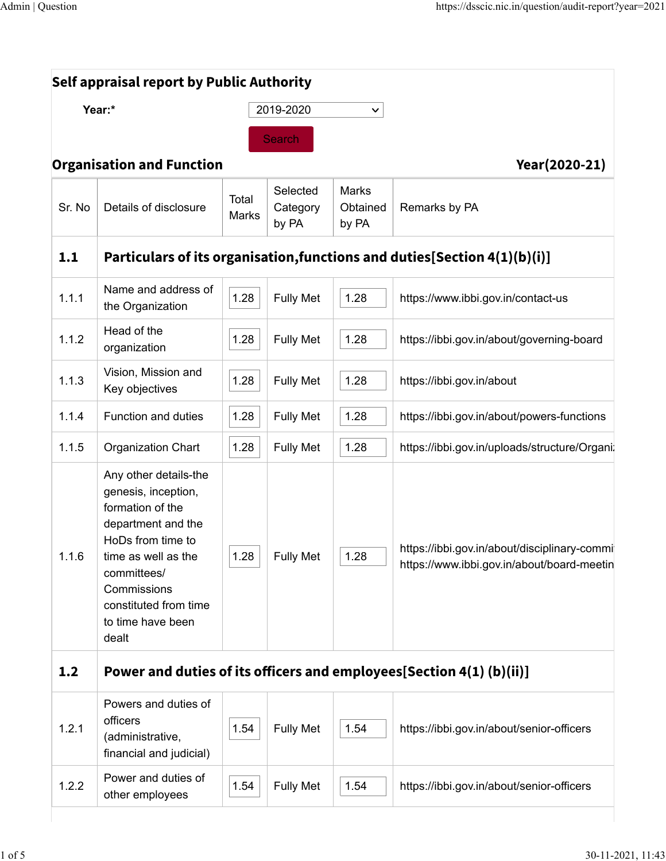| Year:* |                                                                                                                                                                                                                         |                | 2019-2020                     | $\checkmark$                      |                                                                                            |  |  |  |
|--------|-------------------------------------------------------------------------------------------------------------------------------------------------------------------------------------------------------------------------|----------------|-------------------------------|-----------------------------------|--------------------------------------------------------------------------------------------|--|--|--|
|        |                                                                                                                                                                                                                         |                | <b>Search</b>                 |                                   |                                                                                            |  |  |  |
|        | <b>Organisation and Function</b>                                                                                                                                                                                        |                |                               |                                   | Year(2020-21)                                                                              |  |  |  |
| Sr. No | Details of disclosure                                                                                                                                                                                                   | Total<br>Marks | Selected<br>Category<br>by PA | <b>Marks</b><br>Obtained<br>by PA | Remarks by PA                                                                              |  |  |  |
| 1.1    |                                                                                                                                                                                                                         |                |                               |                                   | Particulars of its organisation, functions and duties [Section 4(1)(b)(i)]                 |  |  |  |
| 1.1.1  | Name and address of<br>the Organization                                                                                                                                                                                 | 1.28           | <b>Fully Met</b>              | 1.28                              | https://www.ibbi.gov.in/contact-us                                                         |  |  |  |
| 1.1.2  | Head of the<br>organization                                                                                                                                                                                             | 1.28           | <b>Fully Met</b>              | 1.28                              | https://ibbi.gov.in/about/governing-board                                                  |  |  |  |
| 1.1.3  | Vision, Mission and<br>Key objectives                                                                                                                                                                                   | 1.28           | <b>Fully Met</b>              | 1.28                              | https://ibbi.gov.in/about                                                                  |  |  |  |
| 1.1.4  | Function and duties                                                                                                                                                                                                     | 1.28           | <b>Fully Met</b>              | 1.28                              | https://ibbi.gov.in/about/powers-functions                                                 |  |  |  |
| 1.1.5  | <b>Organization Chart</b>                                                                                                                                                                                               | 1.28           | <b>Fully Met</b>              | 1.28                              | https://ibbi.gov.in/uploads/structure/Organi                                               |  |  |  |
| 1.1.6  | Any other details-the<br>genesis, inception,<br>formation of the<br>department and the<br>HoDs from time to<br>time as well as the<br>committees/<br>Commissions<br>constituted from time<br>to time have been<br>dealt | 1.28           | <b>Fully Met</b>              | 1.28                              | https://ibbi.gov.in/about/disciplinary-commi<br>https://www.ibbi.gov.in/about/board-meetin |  |  |  |
| 1.2    | Power and duties of its officers and employees[Section 4(1) (b)(ii)]                                                                                                                                                    |                |                               |                                   |                                                                                            |  |  |  |
| 1.2.1  | Powers and duties of<br>officers<br>(administrative,<br>financial and judicial)                                                                                                                                         | 1.54           | <b>Fully Met</b>              | 1.54                              | https://ibbi.gov.in/about/senior-officers                                                  |  |  |  |
| 1.2.2  | Power and duties of<br>other employees                                                                                                                                                                                  | 1.54           | <b>Fully Met</b>              | 1.54                              | https://ibbi.gov.in/about/senior-officers                                                  |  |  |  |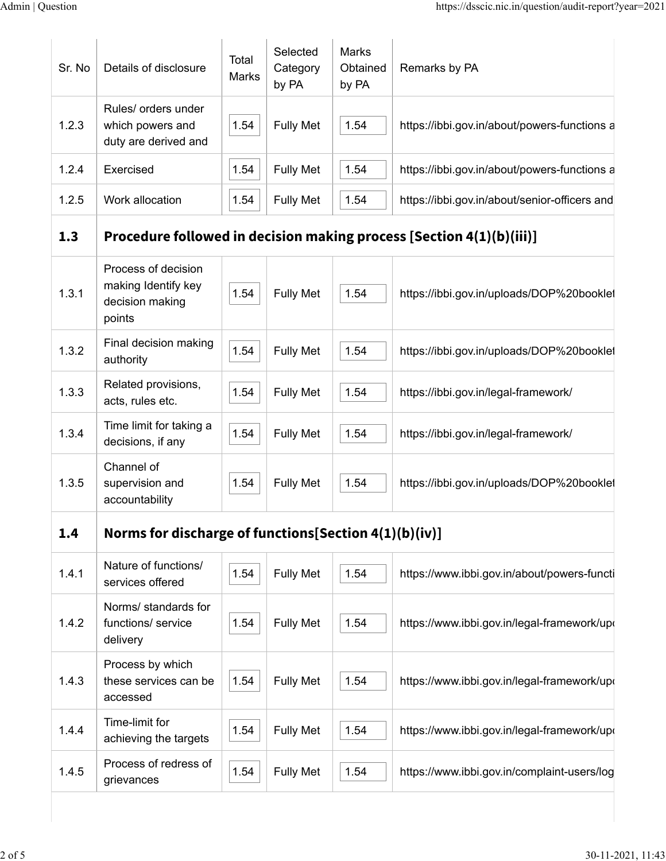| Sr. No | Details of disclosure                                                   | Total<br>Marks | Selected<br>Category<br>by PA | <b>Marks</b><br>Obtained<br>by PA | Remarks by PA                                                        |
|--------|-------------------------------------------------------------------------|----------------|-------------------------------|-----------------------------------|----------------------------------------------------------------------|
| 1.2.3  | Rules/ orders under<br>which powers and<br>duty are derived and         | 1.54           | <b>Fully Met</b>              | 1.54                              | https://ibbi.gov.in/about/powers-functions a                         |
| 1.2.4  | Exercised                                                               | 1.54           | <b>Fully Met</b>              | 1.54                              | https://ibbi.gov.in/about/powers-functions a                         |
| 1.2.5  | Work allocation                                                         | 1.54           | <b>Fully Met</b>              | 1.54                              | https://ibbi.gov.in/about/senior-officers and                        |
| 1.3    |                                                                         |                |                               |                                   | Procedure followed in decision making process [Section 4(1)(b)(iii)] |
| 1.3.1  | Process of decision<br>making Identify key<br>decision making<br>points | 1.54           | <b>Fully Met</b>              | 1.54                              | https://ibbi.gov.in/uploads/DOP%20booklet                            |
| 1.3.2  | Final decision making<br>authority                                      | 1.54           | <b>Fully Met</b>              | 1.54                              | https://ibbi.gov.in/uploads/DOP%20booklet                            |
| 1.3.3  | Related provisions,<br>acts, rules etc.                                 | 1.54           | <b>Fully Met</b>              | 1.54                              | https://ibbi.gov.in/legal-framework/                                 |
| 1.3.4  | Time limit for taking a<br>decisions, if any                            | 1.54           | <b>Fully Met</b>              | 1.54                              | https://ibbi.gov.in/legal-framework/                                 |
| 1.3.5  | Channel of<br>supervision and<br>accountability                         | 1.54           | <b>Fully Met</b>              | 1.54                              | https://ibbi.gov.in/uploads/DOP%20booklet                            |
| 1.4    | Norms for discharge of functions[Section 4(1)(b)(iv)]                   |                |                               |                                   |                                                                      |
| 1.4.1  | Nature of functions/<br>services offered                                | 1.54           | <b>Fully Met</b>              | 1.54                              | https://www.ibbi.gov.in/about/powers-functi                          |
| 1.4.2  | Norms/ standards for<br>functions/ service<br>delivery                  | 1.54           | <b>Fully Met</b>              | 1.54                              | https://www.ibbi.gov.in/legal-framework/upo                          |
| 1.4.3  | Process by which<br>these services can be<br>accessed                   | 1.54           | <b>Fully Met</b>              | 1.54                              | https://www.ibbi.gov.in/legal-framework/upo                          |
| 1.4.4  | Time-limit for<br>achieving the targets                                 | 1.54           | <b>Fully Met</b>              | 1.54                              | https://www.ibbi.gov.in/legal-framework/upo                          |
| 1.4.5  | Process of redress of<br>grievances                                     | 1.54           | <b>Fully Met</b>              | 1.54                              | https://www.ibbi.gov.in/complaint-users/log                          |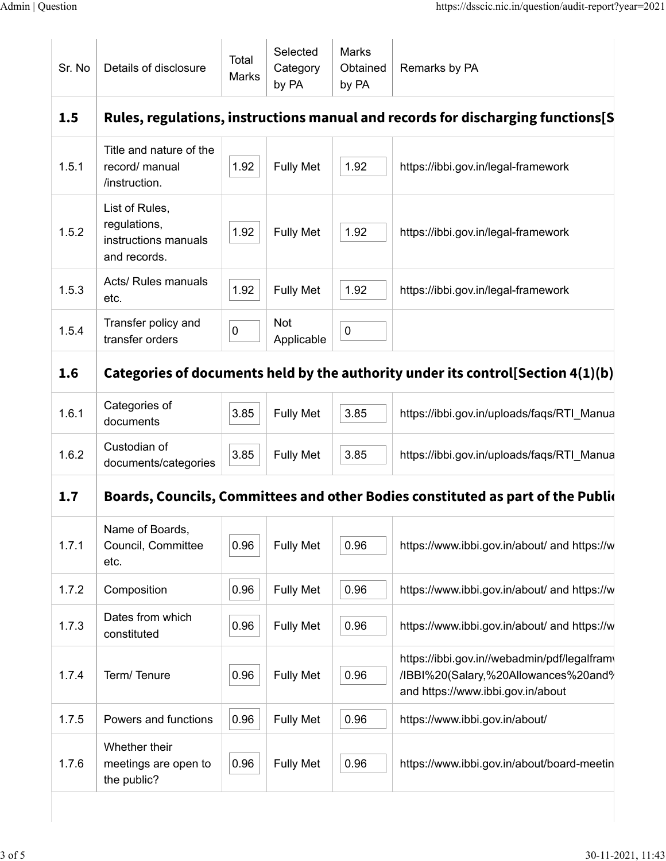| Sr. No | Details of disclosure                                                  | Total<br>Marks | Selected<br>Category<br>by PA | <b>Marks</b><br>Obtained<br>by PA | Remarks by PA                                                                                                             |
|--------|------------------------------------------------------------------------|----------------|-------------------------------|-----------------------------------|---------------------------------------------------------------------------------------------------------------------------|
| 1.5    |                                                                        |                |                               |                                   | Rules, regulations, instructions manual and records for discharging functions[S]                                          |
| 1.5.1  | Title and nature of the<br>record/ manual<br>/instruction.             | 1.92           | <b>Fully Met</b>              | 1.92                              | https://ibbi.gov.in/legal-framework                                                                                       |
| 1.5.2  | List of Rules,<br>regulations,<br>instructions manuals<br>and records. | 1.92           | <b>Fully Met</b>              | 1.92                              | https://ibbi.gov.in/legal-framework                                                                                       |
| 1.5.3  | Acts/ Rules manuals<br>etc.                                            | 1.92           | <b>Fully Met</b>              | 1.92                              | https://ibbi.gov.in/legal-framework                                                                                       |
| 1.5.4  | Transfer policy and<br>transfer orders                                 | 0              | <b>Not</b><br>Applicable      | 0                                 |                                                                                                                           |
| 1.6    |                                                                        |                |                               |                                   | Categories of documents held by the authority under its control [Section 4(1)(b)                                          |
| 1.6.1  | Categories of<br>documents                                             | 3.85           | <b>Fully Met</b>              | 3.85                              | https://ibbi.gov.in/uploads/faqs/RTI_Manua                                                                                |
| 1.6.2  | Custodian of<br>documents/categories                                   | 3.85           | <b>Fully Met</b>              | 3.85                              | https://ibbi.gov.in/uploads/faqs/RTI_Manua                                                                                |
| 1.7    |                                                                        |                |                               |                                   | Boards, Councils, Committees and other Bodies constituted as part of the Public                                           |
| 1.7.1  | Name of Boards,<br>Council, Committee<br>etc.                          | 0.96           | <b>Fully Met</b>              | 0.96                              | https://www.ibbi.gov.in/about/ and https://w                                                                              |
| 1.7.2  | Composition                                                            | 0.96           | <b>Fully Met</b>              | 0.96                              | https://www.ibbi.gov.in/about/ and https://w                                                                              |
| 1.7.3  | Dates from which<br>constituted                                        | 0.96           | <b>Fully Met</b>              | 0.96                              | https://www.ibbi.gov.in/about/ and https://w                                                                              |
| 1.7.4  | Term/Tenure                                                            | 0.96           | <b>Fully Met</b>              | 0.96                              | https://ibbi.gov.in//webadmin/pdf/legalfram\<br>/IBBI%20(Salary,%20Allowances%20and%<br>and https://www.ibbi.gov.in/about |
| 1.7.5  | Powers and functions                                                   | 0.96           | <b>Fully Met</b>              | 0.96                              | https://www.ibbi.gov.in/about/                                                                                            |
| 1.7.6  | Whether their<br>meetings are open to<br>the public?                   | 0.96           | <b>Fully Met</b>              | 0.96                              | https://www.ibbi.gov.in/about/board-meetin                                                                                |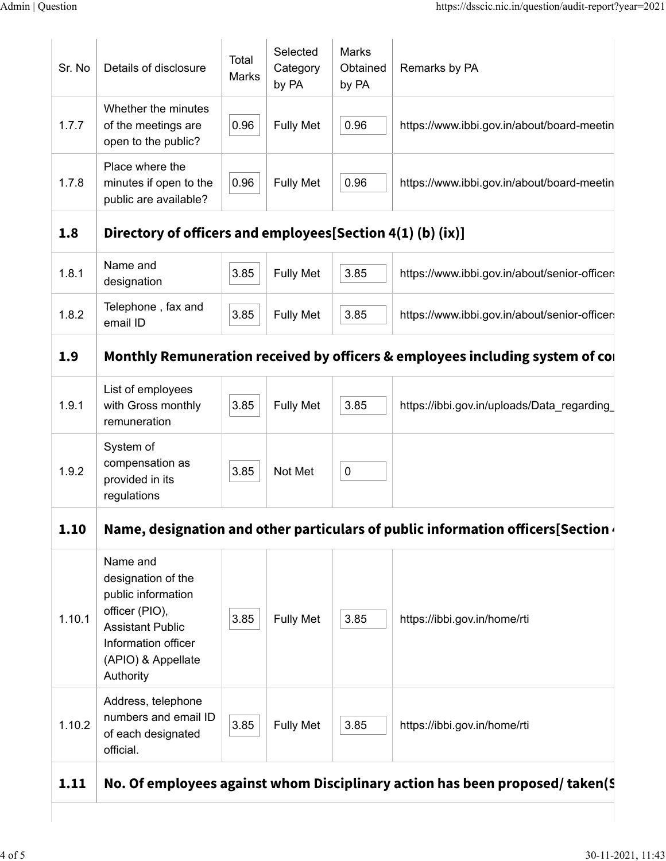| Sr. No | Details of disclosure                                                                                                                                       | Total<br>Marks | Selected<br>Category<br>by PA | Marks<br>Obtained<br>by PA | Remarks by PA                                                                  |
|--------|-------------------------------------------------------------------------------------------------------------------------------------------------------------|----------------|-------------------------------|----------------------------|--------------------------------------------------------------------------------|
| 1.7.7  | Whether the minutes<br>of the meetings are<br>open to the public?                                                                                           | 0.96           | <b>Fully Met</b>              | 0.96                       | https://www.ibbi.gov.in/about/board-meetin                                     |
| 1.7.8  | Place where the<br>minutes if open to the<br>public are available?                                                                                          | 0.96           | <b>Fully Met</b>              | 0.96                       | https://www.ibbi.gov.in/about/board-meetin                                     |
| 1.8    | Directory of officers and employees[Section 4(1) (b) (ix)]                                                                                                  |                |                               |                            |                                                                                |
| 1.8.1  | Name and<br>designation                                                                                                                                     | 3.85           | <b>Fully Met</b>              | 3.85                       | https://www.ibbi.gov.in/about/senior-officer                                   |
| 1.8.2  | Telephone, fax and<br>email ID                                                                                                                              | 3.85           | <b>Fully Met</b>              | 3.85                       | https://www.ibbi.gov.in/about/senior-officer                                   |
| 1.9    |                                                                                                                                                             |                |                               |                            | Monthly Remuneration received by officers & employees including system of co   |
| 1.9.1  | List of employees<br>with Gross monthly<br>remuneration                                                                                                     | 3.85           | <b>Fully Met</b>              | 3.85                       | https://ibbi.gov.in/uploads/Data_regarding                                     |
| 1.9.2  | System of<br>compensation as<br>provided in its<br>regulations                                                                                              | 3.85           | Not Met                       | $\pmb{0}$                  |                                                                                |
|        |                                                                                                                                                             |                |                               |                            |                                                                                |
| 1.10   |                                                                                                                                                             |                |                               |                            | Name, designation and other particulars of public information officers[Section |
| 1.10.1 | Name and<br>designation of the<br>public information<br>officer (PIO),<br><b>Assistant Public</b><br>Information officer<br>(APIO) & Appellate<br>Authority | 3.85           | <b>Fully Met</b>              | 3.85                       | https://ibbi.gov.in/home/rti                                                   |